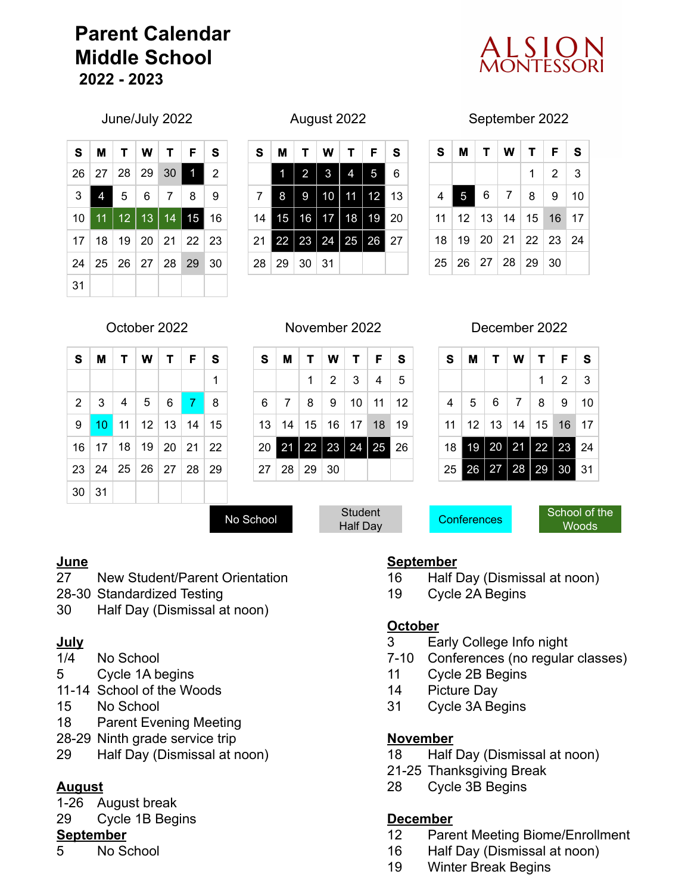# **Parent Calendar Middle School 2022 - 2023**



|    |   | S M T W T F                      |  | S              |
|----|---|----------------------------------|--|----------------|
|    |   | 26 27 28 29 30 1                 |  | $\overline{2}$ |
| 3  | 4 | 5678                             |  | 9              |
|    |   | 10 11 12 13 14 15                |  | 16             |
|    |   | 17   18   19   20   21   22   23 |  |                |
|    |   | 24   25   26   27   28   29   30 |  |                |
| 31 |   |                                  |  |                |

| S  | М  | т  | w  | т      | F  | S  |
|----|----|----|----|--------|----|----|
|    | 1  | 2  | 3  | 4      | 5  | 6  |
| 7  | 8  | 9  | 10 | 1<br>1 | 12 | 13 |
| 14 | 15 | 16 | 17 | 18     | 19 | 20 |
| 21 | 22 | 23 | 24 | 25     | 26 | 27 |
| 28 | 29 | 30 | 31 |        |    |    |

June/July 2022 August 2022 September 2022

| S.             |  | <b>MIT WIT FIS</b>                           |                   |  |
|----------------|--|----------------------------------------------|-------------------|--|
|                |  |                                              | $1 \mid 2 \mid 3$ |  |
| $\overline{4}$ |  | 5678910                                      |                   |  |
|                |  | 11   12   13   14   15   16   17             |                   |  |
|                |  | 18   19   20   21   22   23   24             |                   |  |
|                |  | $25 \mid 26 \mid 27 \mid 28 \mid 29 \mid 30$ |                   |  |

| S.    | M   T   W   T   F                |  | <b>S</b> |
|-------|----------------------------------|--|----------|
|       |                                  |  | 1        |
|       | 2   3   4   5   6   7            |  | 8        |
| 9     | $10$ 11 12 13 14 15              |  |          |
|       | 16   17   18   19   20   21   22 |  |          |
|       | 23 24 25 26 27 28 29             |  |          |
| 30 31 |                                  |  |          |

| S. | M | $\top$                                           | W               | $T$ $F$   |    | S  |
|----|---|--------------------------------------------------|-----------------|-----------|----|----|
|    |   | 1                                                | $\vert 2 \vert$ | $\vert$ 3 | -4 | 5  |
|    |   | $6 \mid 7 \mid 8 \mid 9 \mid 10 \mid 11 \mid 12$ |                 |           |    |    |
|    |   | 13   14   15   16   17   18   19                 |                 |           |    |    |
|    |   | 20    21    22    23    24    25                 |                 |           |    | 26 |
|    |   | 27   28   29   30                                |                 |           |    |    |

October 2022 November 2022 December 2022

| s  | м  | $\mathbf{T}$ | w            |                     | T   F     | S  |
|----|----|--------------|--------------|---------------------|-----------|----|
|    |    |              |              | 1.                  | $\vert$ 2 | 3  |
| 4  |    | $5 \mid 6$   | 7            | - 8                 | 9         | 10 |
| 11 |    |              |              | $12$ 13 14 15 16 17 |           |    |
| 18 | 19 | $\vert$ 20   | $ 21\rangle$ | 22                  | 23        | 24 |
| 25 | 26 | 27 28        |              | ▎<br>29             | 30        | 31 |

No School Student<br>Half Day

Conferences

School of the Woods

## **June**

- New Student/Parent Orientation
- 28-30 Standardized Testing
- Half Day (Dismissal at noon)

## **July**

- 1/4 No School
- Cycle 1A begins
- 11-14 School of the Woods
- No School
- Parent Evening Meeting
- 28-29 Ninth grade service trip
- Half Day (Dismissal at noon)

## **August**

- 1-26 August break
- Cycle 1B Begins

## **September**

No School

## **September**

- Half Day (Dismissal at noon)
- Cycle 2A Begins

## **October**

- Early College Info night
- 7-10 Conferences (no regular classes)
- Cycle 2B Begins
- Picture Day
- Cycle 3A Begins

## **November**

- Half Day (Dismissal at noon)
- 21-25 Thanksgiving Break
- Cycle 3B Begins

## **December**

- Parent Meeting Biome/Enrollment
- Half Day (Dismissal at noon)
- Winter Break Begins